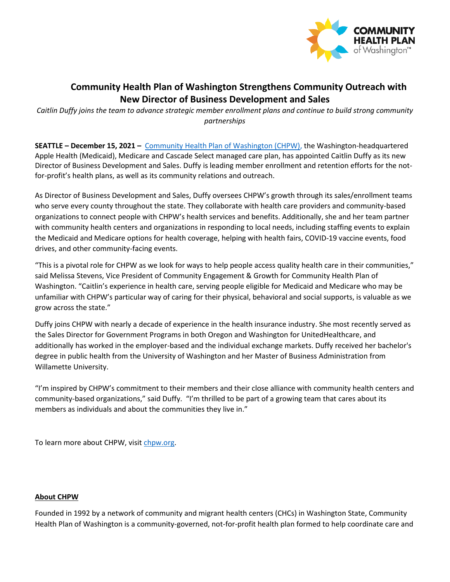

## **Community Health Plan of Washington Strengthens Community Outreach with New Director of Business Development and Sales**

*Caitlin Duffy joins the team to advance strategic member enrollment plans and continue to build strong community partnerships*

**SEATTLE – December 15, 2021 –** [Community Health Plan of Washington \(CHPW\),](http://www.chpw.org/) the Washington-headquartered Apple Health (Medicaid), Medicare and Cascade Select managed care plan, has appointed Caitlin Duffy as its new Director of Business Development and Sales. Duffy is leading member enrollment and retention efforts for the notfor-profit's health plans, as well as its community relations and outreach.

As Director of Business Development and Sales, Duffy oversees CHPW's growth through its sales/enrollment teams who serve every county throughout the state. They collaborate with health care providers and community-based organizations to connect people with CHPW's health services and benefits. Additionally, she and her team partner with community health centers and organizations in responding to local needs, including staffing events to explain the Medicaid and Medicare options for health coverage, helping with health fairs, COVID-19 vaccine events, food drives, and other community-facing events.

"This is a pivotal role for CHPW as we look for ways to help people access quality health care in their communities," said Melissa Stevens, Vice President of Community Engagement & Growth for Community Health Plan of Washington. "Caitlin's experience in health care, serving people eligible for Medicaid and Medicare who may be unfamiliar with CHPW's particular way of caring for their physical, behavioral and social supports, is valuable as we grow across the state."

Duffy joins CHPW with nearly a decade of experience in the health insurance industry. She most recently served as the Sales Director for Government Programs in both Oregon and Washington for UnitedHealthcare, and additionally has worked in the employer-based and the individual exchange markets. Duffy received her bachelor's degree in public health from the University of Washington and her Master of Business Administration from Willamette University.

"I'm inspired by CHPW's commitment to their members and their close alliance with community health centers and community-based organizations," said Duffy. "I'm thrilled to be part of a growing team that cares about its members as individuals and about the communities they live in."

To learn more about CHPW, visi[t chpw.org.](http://www.chpw.org/)

## **About CHPW**

Founded in 1992 by a network of community and migrant health centers (CHCs) in Washington State, Community Health Plan of Washington is a community-governed, not-for-profit health plan formed to help coordinate care and